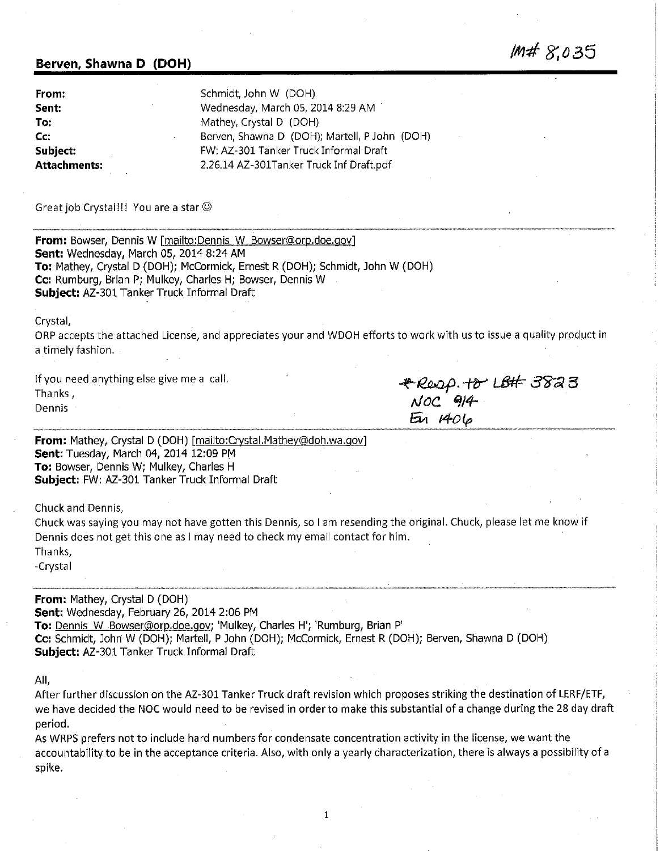#### **Berven, Shawna D (DOH)**

| From:        | Schmidt, John W (DOH)                         |  |  |
|--------------|-----------------------------------------------|--|--|
| Sent:        | Wednesday, March 05, 2014 8:29 AM             |  |  |
| To:          | Mathey, Crystal D (DOH)                       |  |  |
| Cc:          | Berven, Shawna D (DOH); Martell, P John (DOH) |  |  |
| Subject:     | FW: AZ-301 Tanker Truck Informal Draft        |  |  |
| Attachments: | 2.26.14 AZ-301Tanker Truck Inf Draft.pdf      |  |  |

Great job Crystal!!! You are a star©

**From:** Bowser, Dennis W [mailto:Dennis W Bowser@orp.doe.gov] **Sent:** Wednesday, March 05, 2014 8:24 AM **To:** Mathey, Crystal D (DOH); McCormick, Ernest R (DOH); Schmidt, John W (DOH) **Cc:** Rumburg, Brian P; Mulkey, Charles H; Bowser, Dennis W **Subject:** AZ-301 Tanker Truck Informal Draft

Crystal,

ORP accepts the attached License, and appreciates your and WDOH efforts to work with us to issue a quality product in a timely fashion.

If you need anything else give me a call. Thanks, Dennis

~t&a{J- *-tiY Lffef-.-* **3'il'a B**  *NOC '114-*  $51406$ 

**/M# 8',035** 

**From:** Mathey, Crystal D (DOH) [mailto:Crystal.Mathey@doh.wa.gov] **Sent:** Tuesday, March 04, 2014 12:09 PM **To:** Bowser, Dennis W; Mulkey, Charles H **Subject:** FW: AZ-301 Tanker Truck Informal Draft

Chuck and Dennis,

Chuck was saying you may not have gotten this Dennis, so I am resending the original. Chuck, please let me know if Dennis does not get this one as I may need to check my email contact for him. Thanks,

-Crystal

**From:** Mathey, Crystal D (DOH) **Sent:** Wednesday, February 26, 2014 2:06 PM **To:** Dennis W Bowser@orp.doe.gov; 'Mulkey, Charles H'; 'Rumburg, Brian P' **Cc:** Schmidt, John W (DOH); Martell, P John (DOH); McCormick, Ernest R (DOH); Berven, Shawna D (DOH) **Subject:** AZ-301 Tanker Truck Informal Draft

All,

After further discussion on the AZ-301 Tanker Truck draft revision which proposes striking the destination of LERF/ETF, we have decided the NOC would need to be revised in order to make this substantial of a change during the 28 day draft period.

As WRPS prefers not to include hard numbers for condensate concentration activity in the license, we want the accountability to be in the acceptance criteria. Also, with only a yearly characterization, there is always a possibility of a spike.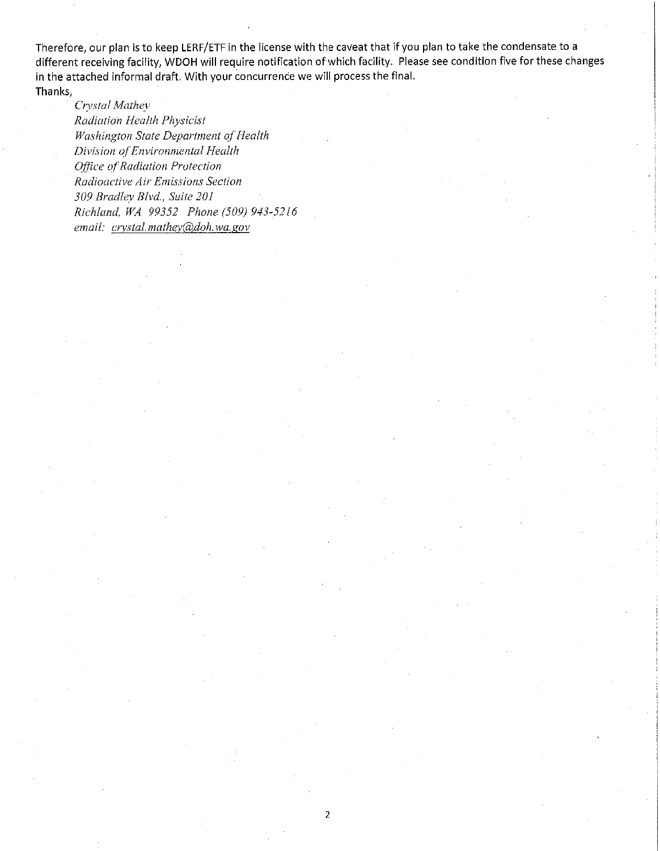Therefore, our **plan is** to **keep** LERF/ETF in **the** license with the **caveat that if** you **plan to take** the **condensate** to **a**  different **receiving** facility, **WDOH will** require **notification of which facility. Please see** condition **five for these changes in the attached** informal **draft. With your concurrence we** will **process** the final. **Thanks,** 

*Clysta/ Mathey Radiation Health Physicist Washington State Department of Health Division of'Environmental Health Office of Radiation Protection Radioactive Air Emissions Section 309 Bradley Blvd., Suite 20 l Richland, WA 99352 Phone (509) 943-52 l 6 email: crystal. mathey@doh.wa.gov*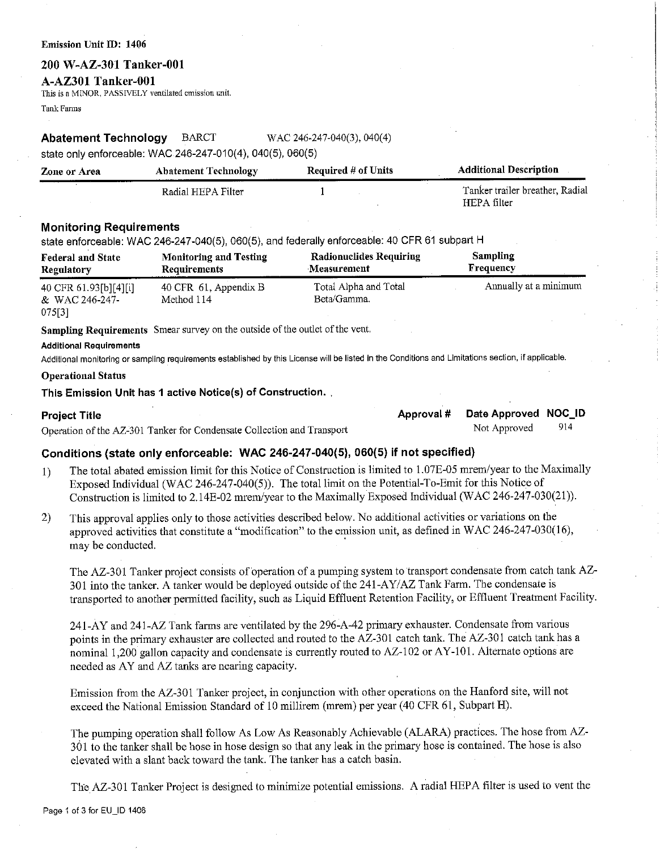#### Emission Unit ID: 1406

#### **200 W-AZ-301 Tanker-001**

# **A-AZ301 Tanker-001**

This is a M!NOR, PASSIVELY ventilated emission unit.

Tank Fanns

#### **Abatement Technology** BARCT WAC 246-247-040(3), 040(4)

state only enforceable: WAC 246-247-010(4), 040(5), 060(5)

| Zone or Area | <b>Abatement Technology</b> | <b>Required # of Units</b> | <b>Additional Description</b>                  |
|--------------|-----------------------------|----------------------------|------------------------------------------------|
|              | Radial HEPA Filter          |                            | Tanker trailer breather, Radial<br>HEPA filter |

### **Monitoring Requirements**

state enforceable: WAC 246-247-040(5), 060(5), and federally enforceable: 40 CFR 61 subpart H

| <b>Federal and State</b> | <b>Monitoring and Testing</b> | <b>Radionuclides Requiring</b> | <b>Sampling</b>       |
|--------------------------|-------------------------------|--------------------------------|-----------------------|
| Regulatory               | Requirements                  | Measurement                    | Frequency             |
| 40 CFR 61.93[b][4][i]    | 40 CFR 61, Appendix B         | Total Alpha and Total          | Annually at a minimum |
| & WAC 246-247-           | Method 114                    | Beta/Gamma.                    |                       |
| 075[3]                   |                               |                                |                       |

**Sampling Requirements** Smear survey on the outside of the outlet of the vent.

#### **Additional Requirements**

Additional monitoring or sampling requirements established by this License will be listed in the Conditions and Limitations section, if applicable.

#### **Operational Status**

#### **This Emission Unit has 1 active Notice(s) of Construction .** .

**Project Title Approval # Date Approved NOC\_ID**<br> **Consulting of the AZ** 201 Tenics for Condensate Collection and Transport Mote Not Approved 2014 Operation of the AZ-301 Tanker for Condensate Collection and Transport Not Approved

# **Conditions {state only enforceable: WAC 246-247-040(5), 060(5) if not specified)**

- 1) The total abated emission limit for this Notice of Construction is limited to 1.07E-05 mrem/year to the Maximally Exposed Individual (WAC 246-247-040(5)). The total limit on the Potential-To-Emit for this Notice of Construction is limited to 2.14E-02 mrem/year to the Maximally Exposed Individual (WAC 246-247-030(21)).
- 2) This approval applies only to those activities described below. No additional activities or variations on the approved activities that constitute a "modification" to the emission unit, as defined in WAC 246-247-030(16), may be conducted.

The AZ-301 Tanker project consists of operation of a pumping system to transport condensate from catch tank AZ-301 into the tanker. A tanker would be deployed outside of the 241-AY/AZ Tank Farm. The condensate is transported to another permitted facility, such as Liquid Effluent Retention Facility, or Effluent Treatment Facility.

241-AY and 241-AZ Tank farms are ventilated by the 296-A-42 primary exhauster. Condensate from various points in the primary exhauster are collected and routed to the AZ-301 catch tank. The AZ-301 catch tank has a nominal 1,200 gallon capacity and condensate is currently routed to AZ-102 or AY-101. Alternate options are needed as AY and AZ tanks are nearing capacity.

Emission from the AZ-301 Tanker project, in conjunction with other operations on the Hanford site, will not exceed the National Emission Standard of 10 millirem (mrem) per year (40 CFR 61, Subpart H).

The pumping operation shall follow As Low As Reasonably Achievable (ALARA) practices. The hose from AZ-361 to the tanker shall be hose in hose design so that any leak in the primary hose is contained. The hose is also elevated with a slant back toward the tank. The tanker has a catch basin.

The AZ-301 Tanker Project is designed to minimize potential emissions. A radial HEPA filter is used to vent the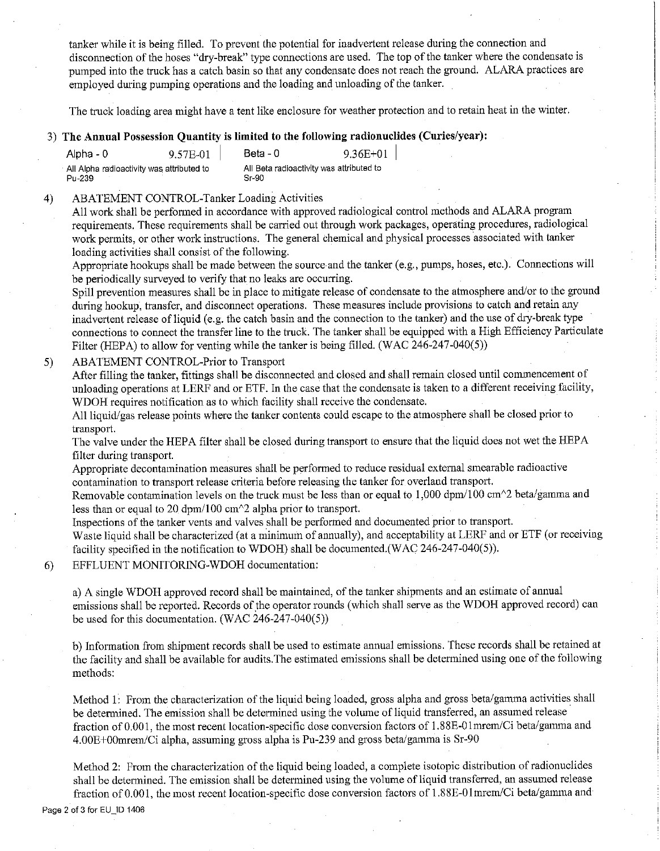tanker while it is being filled. To prevent the potential for inadvertent release during the connection and disconnection of the hoses "dry-break" type connections are used. The top of the tanker where the condensate is pumped into the truck has a catch basin so that any condensate does not reach the ground. ALARA practices are employed during pumping operations and the loading and unloading of the tanker.

The truck loading area might have a tent like enclosure for weather protection and to retain heat in the winter.

# 3) **The Annual Possession Quantity is limited to the following radionuclides (Curies/year):**

| Alpha - 0                                 | 9.57E-01 | Beta - 0                                 | $9.36E + 01$ |
|-------------------------------------------|----------|------------------------------------------|--------------|
| All Aloha radioactivity was attributed to |          | All Beta radioactivity was attributed to |              |
| Pu 239                                    |          | $Sr-90$                                  |              |

#### 4) ABATEMENT CONTROL-Tanker Loading Activities

All work shall be performed in accordance with approved radiological control methods and ALARA program requirements. These requirements shall be carried out through work packages, operating procedures, radiological work permits, or other work instructions. The general chemical and physical processes associated with tanker loading activities shall consist of the following.

Appropriate hookups shall be made between the source and the tanker (e.g., pumps, hoses, etc.). Connections will be periodically surveyed to verify that no leaks are occurring.

Spill prevention measures shall be in place to mitigate release of condensate to the atmosphere and/or to the ground during hookup, transfer, and disconnect operations. These measures include provisions to catch and retain any inadvertent release of liquid (e.g. the catch basin and the connection to the tanker) and the use of dry-break type connections to connect the transfer line to the truck. The tanker shall be equipped with a High Efficiency Particulate Filter (HEPA) to allow for venting while the tanker is being filled. (WAC 246-247-040(5))

### 5) ABATEMENT CONTROL-Prior to Transport

After filling the tanker, fittings shall be disconnected and closed and shall remain closed until commencement of unloading operations at LERF and or ETF. In the case that the condensate is taken to a different receiving facility, WDOH requires notification as to which facility shall receive the condensate.

All liquid/gas release points where the tanker contents could escape to the atmosphere shall be closed prior to transport.

The valve under the HEPA filter shall be closed during transport to ensure that the liquid does not wet the HEPA filter during transport.

Appropriate decontamination measures shall be performed to reduce residual external smearable radioactive contamination to transport release criteria before releasing the tanker for overland transport.

Removable contamination levels on the truck must be less than or equal to 1,000 dpm/100 cm $\gamma$ 2 beta/gamma and less than or equal to 20 dpm/100 cm $\textdegree$ 2 alpha prior to transport.

Inspections of the tanker vents and valves shall be performed and documented prior to transport.

Waste liquid shall be characterized (at a minimum of annually), and acceptability at LERF and or ETF (or receiving facility specified in the notification to WDOH) shall be documented.(WAC 246-247-040(5)).

# 6) EFFLUENT MONITORING-WDOH documentation:

a) A single WDOH approved record shall be maintained, of the tanker shipments and an estimate of annual emissions shall be reported. Records of the operator rounds (which shall serve as the WDOH approved record) can be used for this documentation. (WAC 246-247-040(5))

b) Information from shipment records shall be used to estimate annual emissions. These records shall be retained at the facility and shall be available for audits.The estimated emissions shall be determined using one of the following methods:

Method 1: From the characterization of the liquid being loaded, gross alpha and gross beta/gamma activities shall be determined. The emission shall be determined using the volume of liquid transferred, an assumed release fraction of 0.001, the most recent location-specific dose conversion factors of 1.88E-01mrem/Ci beta/gamma and 4.00E+00mrem/Ci alpha, assuming gross alpha is Pu-239 and gross beta/gamma is Sr-90

Method 2: From the characterization of the liquid being loaded, a complete isotopic distribution of radionuclides shall be determined. The emission shall be determined using the volume of liquid transferred, an assumed release fraction of 0.001, the most recent location-specific dose conversion factors of 1.88E-01mrem/Ci beta/gamma and